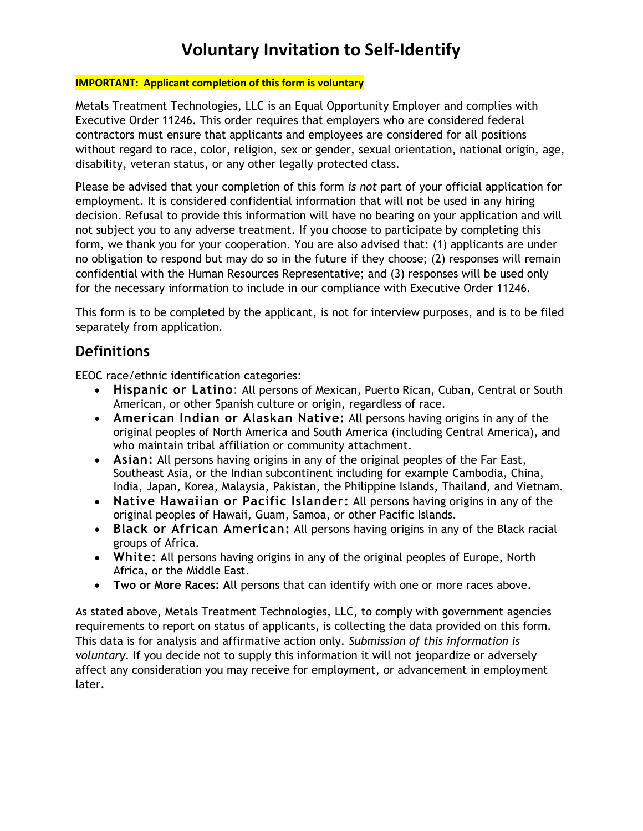## Voluntary Invitation to Self-Identify

#### IMPORTANT: Applicant completion of this form is voluntary

Metals Treatment Technologies, LLC is an Equal Opportunity Employer and complies with Executive Order 11246. This order requires that employers who are considered federal contractors must ensure that applicants and employees are considered for all positions without regard to race, color, religion, sex or gender, sexual orientation, national origin, age, disability, veteran status, or any other legally protected class.

Please be advised that your completion of this form is not part of your official application for employment. It is considered confidential information that will not be used in any hiring decision. Refusal to provide this information will have no bearing on your application and will not subject you to any adverse treatment. If you choose to participate by completing this form, we thank you for your cooperation. You are also advised that: (1) applicants are under no obligation to respond but may do so in the future if they choose; (2) responses will remain confidential with the Human Resources Representative; and (3) responses will be used only for the necessary information to include in our compliance with Executive Order 11246.

This form is to be completed by the applicant, is not for interview purposes, and is to be filed separately from application.

### **Definitions**

EEOC race/ethnic identification categories:

- Hispanic or Latino: All persons of Mexican, Puerto Rican, Cuban, Central or South American, or other Spanish culture or origin, regardless of race.
- American Indian or Alaskan Native: All persons having origins in any of the original peoples of North America and South America (including Central America), and who maintain tribal affiliation or community attachment.
- Asian: All persons having origins in any of the original peoples of the Far East, Southeast Asia, or the Indian subcontinent including for example Cambodia, China, India, Japan, Korea, Malaysia, Pakistan, the Philippine Islands, Thailand, and Vietnam.
- Native Hawaiian or Pacific Islander: All persons having origins in any of the original peoples of Hawaii, Guam, Samoa, or other Pacific Islands.
- Black or African American: All persons having origins in any of the Black racial groups of Africa.
- White: All persons having origins in any of the original peoples of Europe, North Africa, or the Middle East.
- Two or More Races: All persons that can identify with one or more races above.

As stated above, Metals Treatment Technologies, LLC, to comply with government agencies requirements to report on status of applicants, is collecting the data provided on this form. This data is for analysis and affirmative action only. Submission of this information is voluntary. If you decide not to supply this information it will not jeopardize or adversely affect any consideration you may receive for employment, or advancement in employment later.